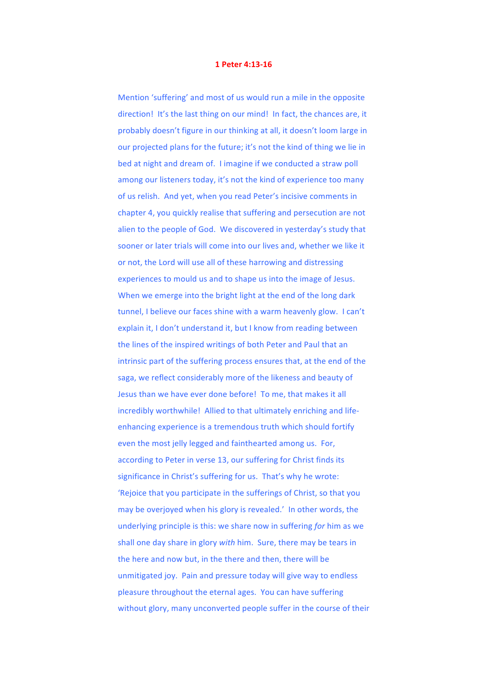## **1 Peter 4:13-16**

Mention 'suffering' and most of us would run a mile in the opposite direction! It's the last thing on our mind! In fact, the chances are, it probably doesn't figure in our thinking at all, it doesn't loom large in our projected plans for the future; it's not the kind of thing we lie in bed at night and dream of. I imagine if we conducted a straw poll among our listeners today, it's not the kind of experience too many of us relish. And yet, when you read Peter's incisive comments in chapter 4, you quickly realise that suffering and persecution are not alien to the people of God. We discovered in vesterday's study that sooner or later trials will come into our lives and, whether we like it or not, the Lord will use all of these harrowing and distressing experiences to mould us and to shape us into the image of Jesus. When we emerge into the bright light at the end of the long dark tunnel, I believe our faces shine with a warm heavenly glow. I can't explain it, I don't understand it, but I know from reading between the lines of the inspired writings of both Peter and Paul that an intrinsic part of the suffering process ensures that, at the end of the saga, we reflect considerably more of the likeness and beauty of Jesus than we have ever done before! To me, that makes it all incredibly worthwhile! Allied to that ultimately enriching and lifeenhancing experience is a tremendous truth which should fortify even the most jelly legged and fainthearted among us. For, according to Peter in verse 13, our suffering for Christ finds its significance in Christ's suffering for us. That's why he wrote: 'Rejoice that you participate in the sufferings of Christ, so that you may be overjoyed when his glory is revealed.' In other words, the underlying principle is this: we share now in suffering *for* him as we shall one day share in glory *with* him. Sure, there may be tears in the here and now but, in the there and then, there will be unmitigated joy. Pain and pressure today will give way to endless pleasure throughout the eternal ages. You can have suffering without glory, many unconverted people suffer in the course of their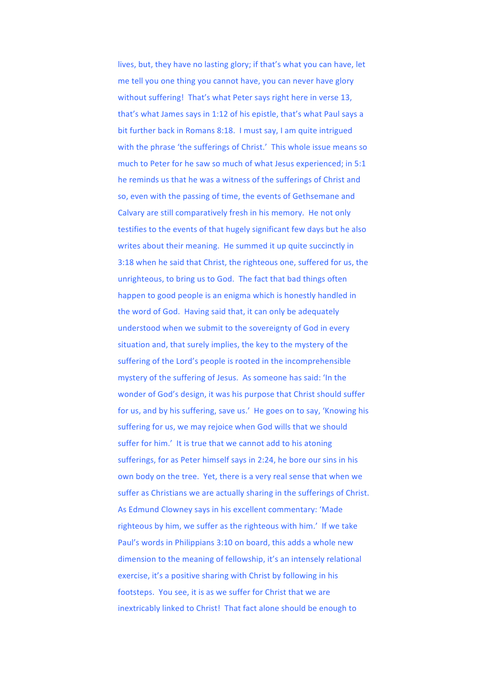lives, but, they have no lasting glory; if that's what you can have, let me tell you one thing you cannot have, you can never have glory without suffering! That's what Peter says right here in verse 13, that's what James says in 1:12 of his epistle, that's what Paul says a bit further back in Romans 8:18. I must say, I am quite intrigued with the phrase 'the sufferings of Christ.' This whole issue means so much to Peter for he saw so much of what Jesus experienced; in 5:1 he reminds us that he was a witness of the sufferings of Christ and so, even with the passing of time, the events of Gethsemane and Calvary are still comparatively fresh in his memory. He not only testifies to the events of that hugely significant few days but he also writes about their meaning. He summed it up quite succinctly in 3:18 when he said that Christ, the righteous one, suffered for us, the unrighteous, to bring us to God. The fact that bad things often happen to good people is an enigma which is honestly handled in the word of God. Having said that, it can only be adequately understood when we submit to the sovereignty of God in every situation and, that surely implies, the key to the mystery of the suffering of the Lord's people is rooted in the incomprehensible mystery of the suffering of Jesus. As someone has said: 'In the wonder of God's design, it was his purpose that Christ should suffer for us, and by his suffering, save us.' He goes on to say, 'Knowing his suffering for us, we may rejoice when God wills that we should suffer for him.' It is true that we cannot add to his atoning sufferings, for as Peter himself says in 2:24, he bore our sins in his own body on the tree. Yet, there is a very real sense that when we suffer as Christians we are actually sharing in the sufferings of Christ. As Edmund Clowney says in his excellent commentary: 'Made righteous by him, we suffer as the righteous with him.' If we take Paul's words in Philippians 3:10 on board, this adds a whole new dimension to the meaning of fellowship, it's an intensely relational exercise, it's a positive sharing with Christ by following in his footsteps. You see, it is as we suffer for Christ that we are inextricably linked to Christ! That fact alone should be enough to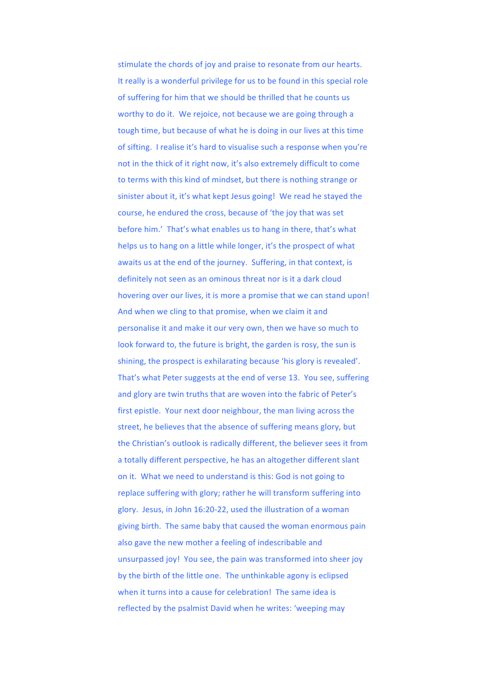stimulate the chords of joy and praise to resonate from our hearts. It really is a wonderful privilege for us to be found in this special role of suffering for him that we should be thrilled that he counts us worthy to do it. We rejoice, not because we are going through a tough time, but because of what he is doing in our lives at this time of sifting. I realise it's hard to visualise such a response when you're not in the thick of it right now, it's also extremely difficult to come to terms with this kind of mindset, but there is nothing strange or sinister about it, it's what kept Jesus going! We read he stayed the course, he endured the cross, because of 'the joy that was set before him.' That's what enables us to hang in there, that's what helps us to hang on a little while longer, it's the prospect of what awaits us at the end of the journey. Suffering, in that context, is definitely not seen as an ominous threat nor is it a dark cloud hovering over our lives, it is more a promise that we can stand upon! And when we cling to that promise, when we claim it and personalise it and make it our very own, then we have so much to look forward to, the future is bright, the garden is rosy, the sun is shining, the prospect is exhilarating because 'his glory is revealed'. That's what Peter suggests at the end of verse 13. You see, suffering and glory are twin truths that are woven into the fabric of Peter's first epistle. Your next door neighbour, the man living across the street, he believes that the absence of suffering means glory, but the Christian's outlook is radically different, the believer sees it from a totally different perspective, he has an altogether different slant on it. What we need to understand is this: God is not going to replace suffering with glory; rather he will transform suffering into glory. Jesus, in John 16:20-22, used the illustration of a woman giving birth. The same baby that caused the woman enormous pain also gave the new mother a feeling of indescribable and unsurpassed joy! You see, the pain was transformed into sheer joy by the birth of the little one. The unthinkable agony is eclipsed when it turns into a cause for celebration! The same idea is reflected by the psalmist David when he writes: 'weeping may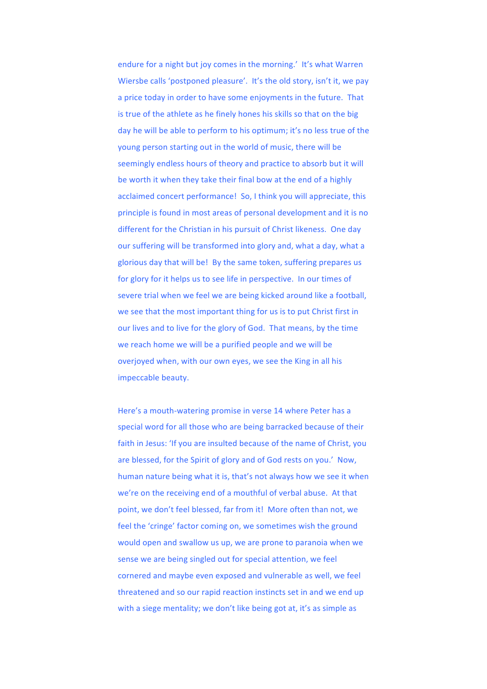endure for a night but joy comes in the morning.' It's what Warren Wiersbe calls 'postponed pleasure'. It's the old story, isn't it, we pay a price today in order to have some enjoyments in the future. That is true of the athlete as he finely hones his skills so that on the big day he will be able to perform to his optimum; it's no less true of the young person starting out in the world of music, there will be seemingly endless hours of theory and practice to absorb but it will be worth it when they take their final bow at the end of a highly acclaimed concert performance! So, I think you will appreciate, this principle is found in most areas of personal development and it is no different for the Christian in his pursuit of Christ likeness. One day our suffering will be transformed into glory and, what a day, what a glorious day that will be! By the same token, suffering prepares us for glory for it helps us to see life in perspective. In our times of severe trial when we feel we are being kicked around like a football, we see that the most important thing for us is to put Christ first in our lives and to live for the glory of God. That means, by the time we reach home we will be a purified people and we will be overjoyed when, with our own eyes, we see the King in all his impeccable beauty.

Here's a mouth-watering promise in verse 14 where Peter has a special word for all those who are being barracked because of their faith in Jesus: 'If you are insulted because of the name of Christ, you are blessed, for the Spirit of glory and of God rests on you.' Now, human nature being what it is, that's not always how we see it when we're on the receiving end of a mouthful of verbal abuse. At that point, we don't feel blessed, far from it! More often than not, we feel the 'cringe' factor coming on, we sometimes wish the ground would open and swallow us up, we are prone to paranoia when we sense we are being singled out for special attention, we feel cornered and maybe even exposed and vulnerable as well, we feel threatened and so our rapid reaction instincts set in and we end up with a siege mentality; we don't like being got at, it's as simple as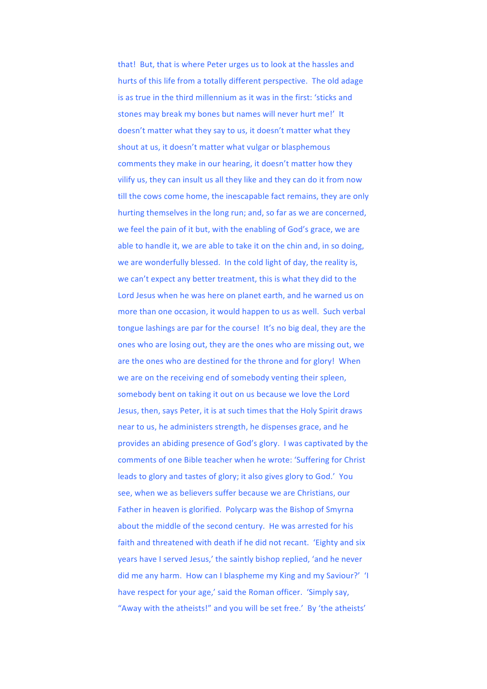that! But, that is where Peter urges us to look at the hassles and hurts of this life from a totally different perspective. The old adage is as true in the third millennium as it was in the first: 'sticks and stones may break my bones but names will never hurt me!' It doesn't matter what they say to us, it doesn't matter what they shout at us, it doesn't matter what vulgar or blasphemous comments they make in our hearing, it doesn't matter how they vilify us, they can insult us all they like and they can do it from now till the cows come home, the inescapable fact remains, they are only hurting themselves in the long run; and, so far as we are concerned. we feel the pain of it but, with the enabling of God's grace, we are able to handle it, we are able to take it on the chin and, in so doing, we are wonderfully blessed. In the cold light of day, the reality is, we can't expect any better treatment, this is what they did to the Lord Jesus when he was here on planet earth, and he warned us on more than one occasion, it would happen to us as well. Such verbal tongue lashings are par for the course! It's no big deal, they are the ones who are losing out, they are the ones who are missing out, we are the ones who are destined for the throne and for glory! When we are on the receiving end of somebody venting their spleen, somebody bent on taking it out on us because we love the Lord Jesus, then, says Peter, it is at such times that the Holy Spirit draws near to us, he administers strength, he dispenses grace, and he provides an abiding presence of God's glory. I was captivated by the comments of one Bible teacher when he wrote: 'Suffering for Christ leads to glory and tastes of glory; it also gives glory to God.' You see, when we as believers suffer because we are Christians, our Father in heaven is glorified. Polycarp was the Bishop of Smyrna about the middle of the second century. He was arrested for his faith and threatened with death if he did not recant. 'Eighty and six years have I served Jesus,' the saintly bishop replied, 'and he never did me any harm. How can I blaspheme my King and my Saviour?' 'I have respect for your age,' said the Roman officer. 'Simply say, "Away with the atheists!" and you will be set free.' By 'the atheists'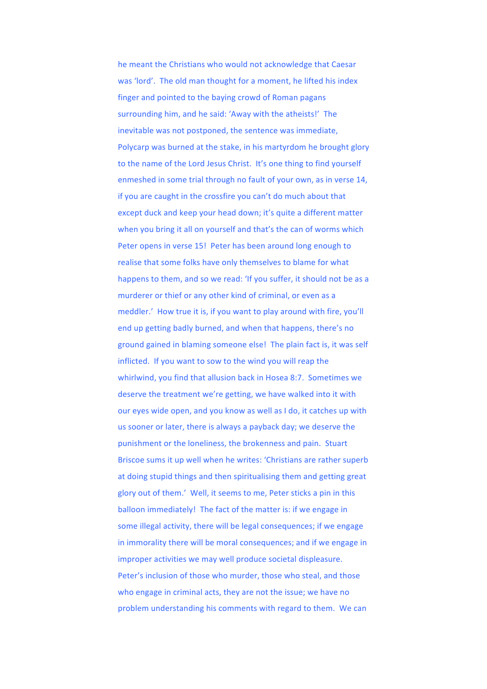he meant the Christians who would not acknowledge that Caesar was 'lord'. The old man thought for a moment, he lifted his index finger and pointed to the baying crowd of Roman pagans surrounding him, and he said: 'Away with the atheists!' The inevitable was not postponed, the sentence was immediate, Polycarp was burned at the stake, in his martyrdom he brought glory to the name of the Lord Jesus Christ. It's one thing to find yourself enmeshed in some trial through no fault of your own, as in verse 14, if you are caught in the crossfire you can't do much about that except duck and keep your head down; it's quite a different matter when you bring it all on yourself and that's the can of worms which Peter opens in verse 15! Peter has been around long enough to realise that some folks have only themselves to blame for what happens to them, and so we read: 'If you suffer, it should not be as a murderer or thief or any other kind of criminal, or even as a meddler.' How true it is, if you want to play around with fire, you'll end up getting badly burned, and when that happens, there's no ground gained in blaming someone else! The plain fact is, it was self inflicted. If you want to sow to the wind you will reap the whirlwind, you find that allusion back in Hosea 8:7. Sometimes we deserve the treatment we're getting, we have walked into it with our eyes wide open, and you know as well as I do, it catches up with us sooner or later, there is always a payback day; we deserve the punishment or the loneliness, the brokenness and pain. Stuart Briscoe sums it up well when he writes: 'Christians are rather superb at doing stupid things and then spiritualising them and getting great glory out of them.' Well, it seems to me, Peter sticks a pin in this balloon immediately! The fact of the matter is: if we engage in some illegal activity, there will be legal consequences; if we engage in immorality there will be moral consequences; and if we engage in improper activities we may well produce societal displeasure. Peter's inclusion of those who murder, those who steal, and those who engage in criminal acts, they are not the issue; we have no problem understanding his comments with regard to them. We can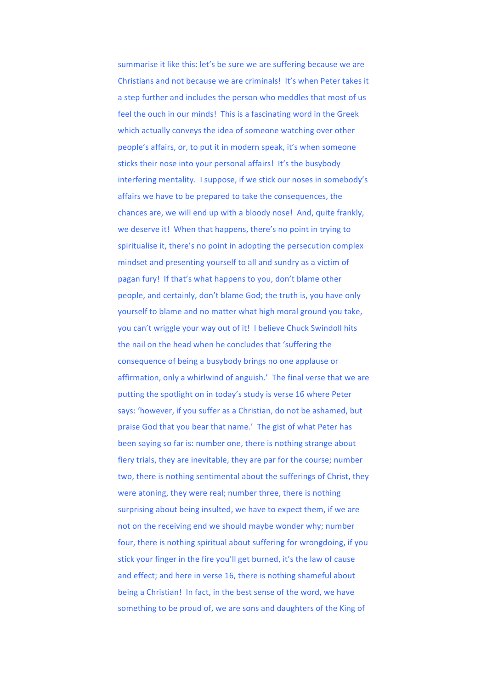summarise it like this: let's be sure we are suffering because we are Christians and not because we are criminals! It's when Peter takes it a step further and includes the person who meddles that most of us feel the ouch in our minds! This is a fascinating word in the Greek which actually conveys the idea of someone watching over other people's affairs, or, to put it in modern speak, it's when someone sticks their nose into your personal affairs! It's the busybody interfering mentality. I suppose, if we stick our noses in somebody's affairs we have to be prepared to take the consequences, the chances are, we will end up with a bloody nose! And, quite frankly, we deserve it! When that happens, there's no point in trying to spiritualise it, there's no point in adopting the persecution complex mindset and presenting yourself to all and sundry as a victim of pagan fury! If that's what happens to you, don't blame other people, and certainly, don't blame God; the truth is, you have only yourself to blame and no matter what high moral ground you take, you can't wriggle your way out of it! I believe Chuck Swindoll hits the nail on the head when he concludes that 'suffering the consequence of being a busybody brings no one applause or affirmation, only a whirlwind of anguish.' The final verse that we are putting the spotlight on in today's study is verse 16 where Peter says: 'however, if you suffer as a Christian, do not be ashamed, but praise God that you bear that name.' The gist of what Peter has been saying so far is: number one, there is nothing strange about fiery trials, they are inevitable, they are par for the course; number two, there is nothing sentimental about the sufferings of Christ, they were atoning, they were real; number three, there is nothing surprising about being insulted, we have to expect them, if we are not on the receiving end we should maybe wonder why; number four, there is nothing spiritual about suffering for wrongdoing, if you stick your finger in the fire you'll get burned, it's the law of cause and effect; and here in verse 16, there is nothing shameful about being a Christian! In fact, in the best sense of the word, we have something to be proud of, we are sons and daughters of the King of